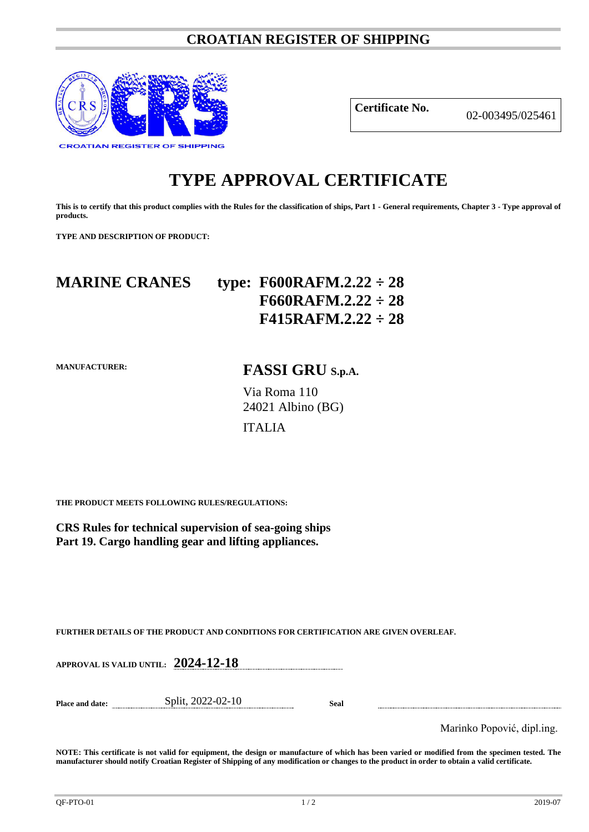### **CROATIAN REGISTER OF SHIPPING**



**Certificate No.** 02-003495/025461

# **TYPE APPROVAL CERTIFICATE**

**This is to certify that this product complies with the Rules for the classification of ships, Part 1 - General requirements, Chapter 3 - Type approval of products.**

**TYPE AND DESCRIPTION OF PRODUCT:** 

# **MARINE CRANES type: F600RAFM.2.22 ÷ 28 F660RAFM.2.22 ÷ 28 F415RAFM.2.22 ÷ 28**

**MANUFACTURER:**

# **FASSI GRU S.p.A.**

Via Roma 110 24021 Albino (BG)

### ITALIA

**THE PRODUCT MEETS FOLLOWING RULES/REGULATIONS:**

**CRS Rules for technical supervision of sea-going ships Part 19. Cargo handling gear and lifting appliances.**

**FURTHER DETAILS OF THE PRODUCT AND CONDITIONS FOR CERTIFICATION ARE GIVEN OVERLEAF.**

**APPROVAL IS VALID UNTIL: 2024-12-18**

**Place and date:** Split, 2022-02-10 **Seal**

Marinko Popović, dipl.ing.

**NOTE: This certificate is not valid for equipment, the design or manufacture of which has been varied or modified from the specimen tested. The manufacturer should notify Croatian Register of Shipping of any modification or changes to the product in order to obtain a valid certificate.**